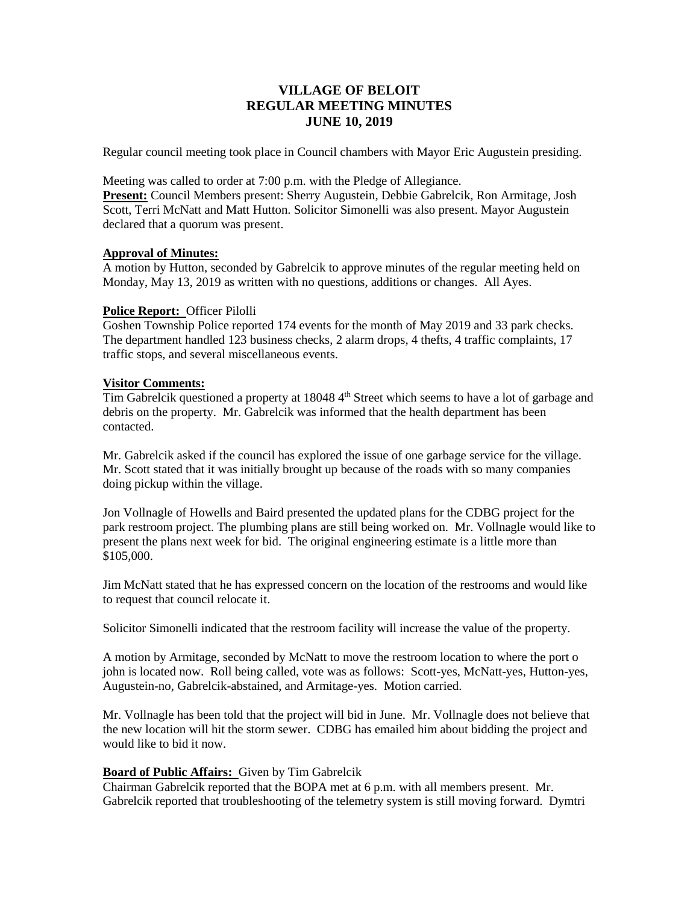# **VILLAGE OF BELOIT REGULAR MEETING MINUTES JUNE 10, 2019**

Regular council meeting took place in Council chambers with Mayor Eric Augustein presiding.

Meeting was called to order at 7:00 p.m. with the Pledge of Allegiance.

**Present:** Council Members present: Sherry Augustein, Debbie Gabrelcik, Ron Armitage, Josh Scott, Terri McNatt and Matt Hutton. Solicitor Simonelli was also present. Mayor Augustein declared that a quorum was present.

### **Approval of Minutes:**

A motion by Hutton, seconded by Gabrelcik to approve minutes of the regular meeting held on Monday, May 13, 2019 as written with no questions, additions or changes. All Ayes.

### **Police Report:** Officer Pilolli

Goshen Township Police reported 174 events for the month of May 2019 and 33 park checks. The department handled 123 business checks, 2 alarm drops, 4 thefts, 4 traffic complaints, 17 traffic stops, and several miscellaneous events.

### **Visitor Comments:**

Tim Gabrelcik questioned a property at 18048 4th Street which seems to have a lot of garbage and debris on the property. Mr. Gabrelcik was informed that the health department has been contacted.

Mr. Gabrelcik asked if the council has explored the issue of one garbage service for the village. Mr. Scott stated that it was initially brought up because of the roads with so many companies doing pickup within the village.

Jon Vollnagle of Howells and Baird presented the updated plans for the CDBG project for the park restroom project. The plumbing plans are still being worked on. Mr. Vollnagle would like to present the plans next week for bid. The original engineering estimate is a little more than \$105,000.

Jim McNatt stated that he has expressed concern on the location of the restrooms and would like to request that council relocate it.

Solicitor Simonelli indicated that the restroom facility will increase the value of the property.

A motion by Armitage, seconded by McNatt to move the restroom location to where the port o john is located now. Roll being called, vote was as follows: Scott-yes, McNatt-yes, Hutton-yes, Augustein-no, Gabrelcik-abstained, and Armitage-yes. Motion carried.

Mr. Vollnagle has been told that the project will bid in June. Mr. Vollnagle does not believe that the new location will hit the storm sewer. CDBG has emailed him about bidding the project and would like to bid it now.

# **Board of Public Affairs:** Given by Tim Gabrelcik

Chairman Gabrelcik reported that the BOPA met at 6 p.m. with all members present. Mr. Gabrelcik reported that troubleshooting of the telemetry system is still moving forward. Dymtri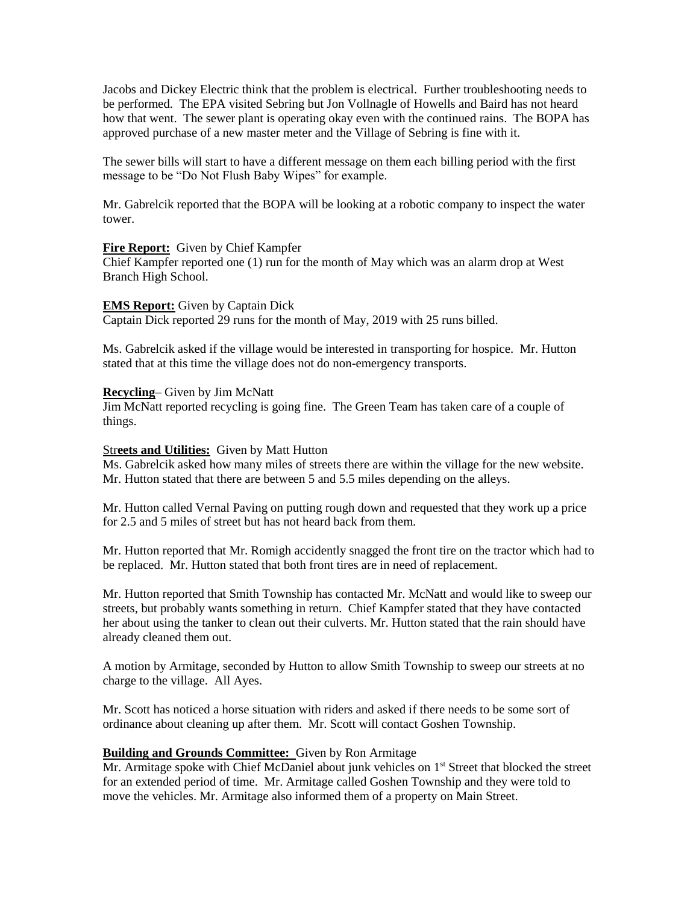Jacobs and Dickey Electric think that the problem is electrical. Further troubleshooting needs to be performed. The EPA visited Sebring but Jon Vollnagle of Howells and Baird has not heard how that went. The sewer plant is operating okay even with the continued rains. The BOPA has approved purchase of a new master meter and the Village of Sebring is fine with it.

The sewer bills will start to have a different message on them each billing period with the first message to be "Do Not Flush Baby Wipes" for example.

Mr. Gabrelcik reported that the BOPA will be looking at a robotic company to inspect the water tower.

### **Fire Report:** Given by Chief Kampfer

Chief Kampfer reported one (1) run for the month of May which was an alarm drop at West Branch High School.

### **EMS Report:** Given by Captain Dick

Captain Dick reported 29 runs for the month of May, 2019 with 25 runs billed.

Ms. Gabrelcik asked if the village would be interested in transporting for hospice. Mr. Hutton stated that at this time the village does not do non-emergency transports.

### **Recycling**– Given by Jim McNatt

Jim McNatt reported recycling is going fine. The Green Team has taken care of a couple of things.

#### Str**eets and Utilities:** Given by Matt Hutton

Ms. Gabrelcik asked how many miles of streets there are within the village for the new website. Mr. Hutton stated that there are between 5 and 5.5 miles depending on the alleys.

Mr. Hutton called Vernal Paving on putting rough down and requested that they work up a price for 2.5 and 5 miles of street but has not heard back from them.

Mr. Hutton reported that Mr. Romigh accidently snagged the front tire on the tractor which had to be replaced. Mr. Hutton stated that both front tires are in need of replacement.

Mr. Hutton reported that Smith Township has contacted Mr. McNatt and would like to sweep our streets, but probably wants something in return. Chief Kampfer stated that they have contacted her about using the tanker to clean out their culverts. Mr. Hutton stated that the rain should have already cleaned them out.

A motion by Armitage, seconded by Hutton to allow Smith Township to sweep our streets at no charge to the village. All Ayes.

Mr. Scott has noticed a horse situation with riders and asked if there needs to be some sort of ordinance about cleaning up after them. Mr. Scott will contact Goshen Township.

# **Building and Grounds Committee:** Given by Ron Armitage

Mr. Armitage spoke with Chief McDaniel about junk vehicles on  $1<sup>st</sup>$  Street that blocked the street for an extended period of time. Mr. Armitage called Goshen Township and they were told to move the vehicles. Mr. Armitage also informed them of a property on Main Street.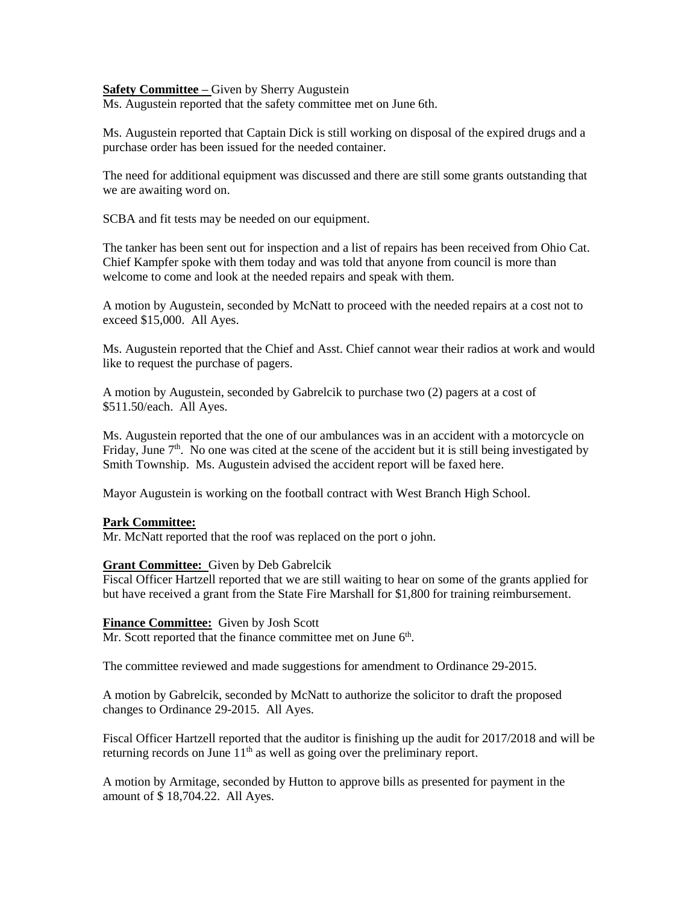# **Safety Committee –** Given by Sherry Augustein

Ms. Augustein reported that the safety committee met on June 6th.

Ms. Augustein reported that Captain Dick is still working on disposal of the expired drugs and a purchase order has been issued for the needed container.

The need for additional equipment was discussed and there are still some grants outstanding that we are awaiting word on.

SCBA and fit tests may be needed on our equipment.

The tanker has been sent out for inspection and a list of repairs has been received from Ohio Cat. Chief Kampfer spoke with them today and was told that anyone from council is more than welcome to come and look at the needed repairs and speak with them.

A motion by Augustein, seconded by McNatt to proceed with the needed repairs at a cost not to exceed \$15,000. All Ayes.

Ms. Augustein reported that the Chief and Asst. Chief cannot wear their radios at work and would like to request the purchase of pagers.

A motion by Augustein, seconded by Gabrelcik to purchase two (2) pagers at a cost of \$511.50/each. All Ayes.

Ms. Augustein reported that the one of our ambulances was in an accident with a motorcycle on Friday, June  $7<sup>th</sup>$ . No one was cited at the scene of the accident but it is still being investigated by Smith Township. Ms. Augustein advised the accident report will be faxed here.

Mayor Augustein is working on the football contract with West Branch High School.

#### **Park Committee:**

Mr. McNatt reported that the roof was replaced on the port o john.

#### **Grant Committee:** Given by Deb Gabrelcik

Fiscal Officer Hartzell reported that we are still waiting to hear on some of the grants applied for but have received a grant from the State Fire Marshall for \$1,800 for training reimbursement.

#### **Finance Committee:** Given by Josh Scott

Mr. Scott reported that the finance committee met on June 6<sup>th</sup>.

The committee reviewed and made suggestions for amendment to Ordinance 29-2015.

A motion by Gabrelcik, seconded by McNatt to authorize the solicitor to draft the proposed changes to Ordinance 29-2015. All Ayes.

Fiscal Officer Hartzell reported that the auditor is finishing up the audit for 2017/2018 and will be returning records on June  $11<sup>th</sup>$  as well as going over the preliminary report.

A motion by Armitage, seconded by Hutton to approve bills as presented for payment in the amount of \$ 18,704.22. All Ayes.